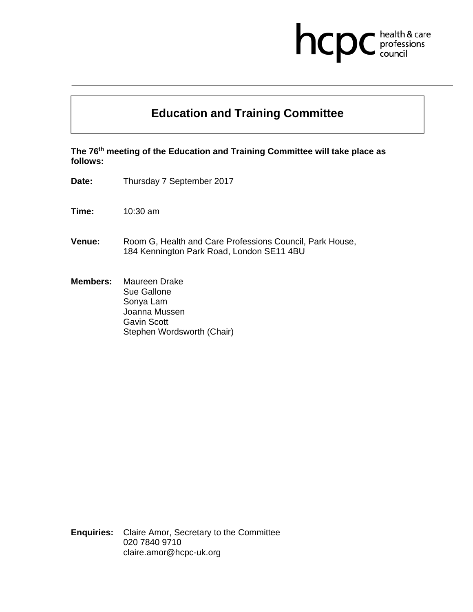## health & care<br>professions<br>council hcp

## **Education and Training Committee**

**The 76th meeting of the Education and Training Committee will take place as follows:** 

- **Date:** Thursday 7 September 2017
- **Time:** 10:30 am
- **Venue:** Room G, Health and Care Professions Council, Park House, 184 Kennington Park Road, London SE11 4BU
- **Members:** Maureen Drake Sue Gallone Sonya Lam Joanna Mussen Gavin Scott Stephen Wordsworth (Chair)

**Enquiries:** Claire Amor, Secretary to the Committee 020 7840 9710 claire.amor@hcpc-uk.org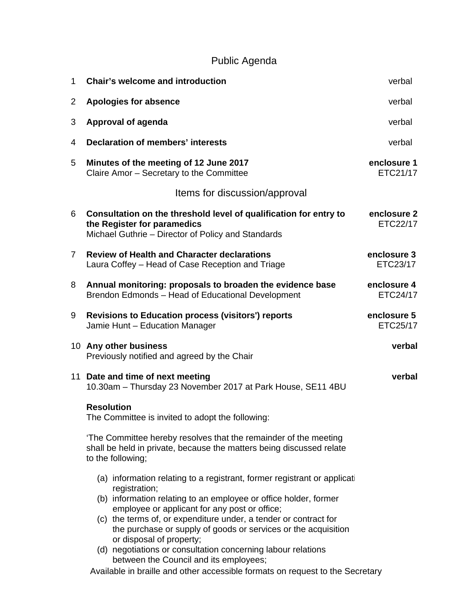## Public Agenda

| 1              | <b>Chair's welcome and introduction</b>                                                                                                                                                                                                                                                                                                                                                                                                                                                      | verbal                  |
|----------------|----------------------------------------------------------------------------------------------------------------------------------------------------------------------------------------------------------------------------------------------------------------------------------------------------------------------------------------------------------------------------------------------------------------------------------------------------------------------------------------------|-------------------------|
| $\overline{2}$ | <b>Apologies for absence</b>                                                                                                                                                                                                                                                                                                                                                                                                                                                                 | verbal                  |
| 3              | Approval of agenda                                                                                                                                                                                                                                                                                                                                                                                                                                                                           | verbal                  |
| 4              | <b>Declaration of members' interests</b>                                                                                                                                                                                                                                                                                                                                                                                                                                                     | verbal                  |
| 5              | Minutes of the meeting of 12 June 2017<br>Claire Amor - Secretary to the Committee                                                                                                                                                                                                                                                                                                                                                                                                           | enclosure 1<br>ETC21/17 |
|                | Items for discussion/approval                                                                                                                                                                                                                                                                                                                                                                                                                                                                |                         |
| 6              | Consultation on the threshold level of qualification for entry to<br>the Register for paramedics<br>Michael Guthrie - Director of Policy and Standards                                                                                                                                                                                                                                                                                                                                       | enclosure 2<br>ETC22/17 |
| $\mathbf{7}$   | <b>Review of Health and Character declarations</b><br>Laura Coffey - Head of Case Reception and Triage                                                                                                                                                                                                                                                                                                                                                                                       | enclosure 3<br>ETC23/17 |
| 8              | Annual monitoring: proposals to broaden the evidence base<br>Brendon Edmonds - Head of Educational Development                                                                                                                                                                                                                                                                                                                                                                               | enclosure 4<br>ETC24/17 |
| 9              | <b>Revisions to Education process (visitors') reports</b><br>Jamie Hunt - Education Manager                                                                                                                                                                                                                                                                                                                                                                                                  | enclosure 5<br>ETC25/17 |
|                | 10 Any other business<br>Previously notified and agreed by the Chair                                                                                                                                                                                                                                                                                                                                                                                                                         | verbal                  |
|                | 11 Date and time of next meeting<br>10.30am - Thursday 23 November 2017 at Park House, SE11 4BU                                                                                                                                                                                                                                                                                                                                                                                              | verbal                  |
|                | <b>Resolution</b><br>The Committee is invited to adopt the following:                                                                                                                                                                                                                                                                                                                                                                                                                        |                         |
|                | 'The Committee hereby resolves that the remainder of the meeting<br>shall be held in private, because the matters being discussed relate<br>to the following;                                                                                                                                                                                                                                                                                                                                |                         |
|                | (a) information relating to a registrant, former registrant or application<br>registration;<br>(b) information relating to an employee or office holder, former<br>employee or applicant for any post or office;<br>(c) the terms of, or expenditure under, a tender or contract for<br>the purchase or supply of goods or services or the acquisition<br>or disposal of property;<br>(d) negotiations or consultation concerning labour relations<br>between the Council and its employees; |                         |
|                | Available in braille and other accessible formats on request to the Secretary                                                                                                                                                                                                                                                                                                                                                                                                                |                         |